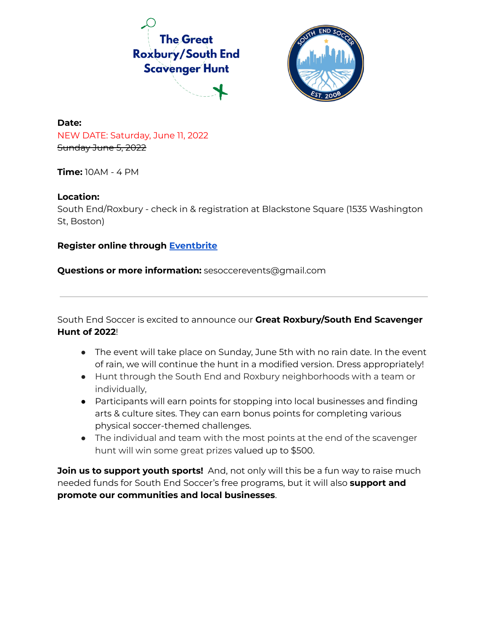



# **Date:** NEW DATE: Saturday, June 11, 2022 Sunday June 5, 2022

**Time:** 10AM - 4 PM

# **Location:**

South End/Roxbury - check in & registration at Blackstone Square (1535 Washington St, Boston)

# **Register online through [Eventbrite](https://www.eventbrite.com/e/the-great-roxburysouth-end-scavenger-hunt-tickets-320863219527)**

**Questions or more information:** sesoccerevents@gmail.com

South End Soccer is excited to announce our **Great Roxbury/South End Scavenger Hunt of 2022**!

- The event will take place on Sunday, June 5th with no rain date. In the event of rain, we will continue the hunt in a modified version. Dress appropriately!
- Hunt through the South End and Roxbury neighborhoods with a team or individually,
- Participants will earn points for stopping into local businesses and finding arts & culture sites. They can earn bonus points for completing various physical soccer-themed challenges.
- The individual and team with the most points at the end of the scavenger hunt will win some great prizes valued up to \$500.

**Join us to support youth sports!** And, not only will this be a fun way to raise much needed funds for South End Soccer's free programs, but it will also **support and promote our communities and local businesses**.